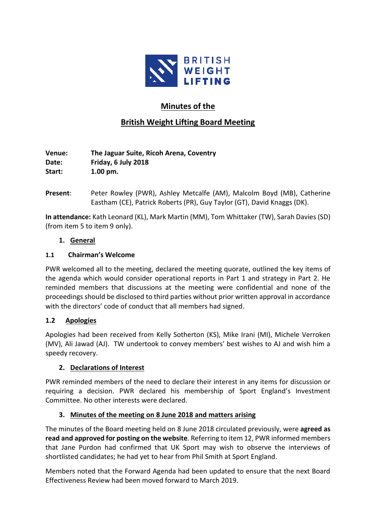

# **Minutes of the**

# **British Weight Lifting Board Meeting**

**Venue: The Jaguar Suite, Ricoh Arena, Coventry Date: Friday, 6 July 2018 Start: 1.00 pm.**

**Present**: Peter Rowley (PWR), Ashley Metcalfe (AM), Malcolm Boyd (MB), Catherine Eastham (CE), Patrick Roberts (PR), Guy Taylor (GT), David Knaggs (DK).

**In attendance:** Kath Leonard (KL), Mark Martin (MM), Tom Whittaker (TW), Sarah Davies (SD) (from item 5 to item 9 only).

### **1. General**

#### **1.1 Chairman's Welcome**

PWR welcomed all to the meeting, declared the meeting quorate, outlined the key items of the agenda which would consider operational reports in Part 1 and strategy in Part 2. He reminded members that discussions at the meeting were confidential and none of the proceedings should be disclosed to third parties without prior written approval in accordance with the directors' code of conduct that all members had signed.

### **1.2 Apologies**

Apologies had been received from Kelly Sotherton (KS), Mike Irani (MI), Michele Verroken (MV), Ali Jawad (AJ).TW undertook to convey members' best wishes to AJ and wish him a speedy recovery.

### **2. Declarations of Interest**

PWR reminded members of the need to declare their interest in any items for discussion or requiring a decision. PWR declared his membership of Sport England's Investment Committee. No other interests were declared.

### **3. Minutes of the meeting on 8 June 2018 and matters arising**

The minutes of the Board meeting held on 8 June 2018 circulated previously, were **agreed as read and approved for posting on the website**. Referring to item 12, PWR informed members that Jane Purdon had confirmed that UK Sport may wish to observe the interviews of shortlisted candidates; he had yet to hear from Phil Smith at Sport England.

Members noted that the Forward Agenda had been updated to ensure that the next Board Effectiveness Review had been moved forward to March 2019.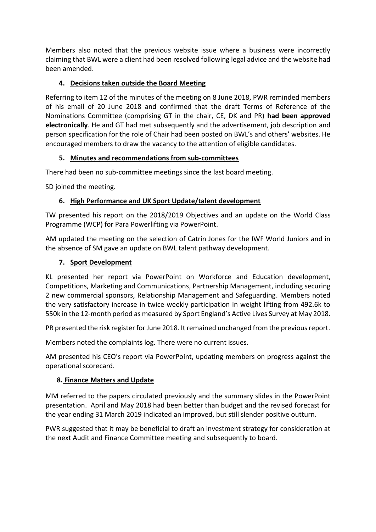Members also noted that the previous website issue where a business were incorrectly claiming that BWL were a client had been resolved following legal advice and the website had been amended.

### **4. Decisions taken outside the Board Meeting**

Referring to item 12 of the minutes of the meeting on 8 June 2018, PWR reminded members of his email of 20 June 2018 and confirmed that the draft Terms of Reference of the Nominations Committee (comprising GT in the chair, CE, DK and PR) **had been approved electronically**. He and GT had met subsequently and the advertisement, job description and person specification for the role of Chair had been posted on BWL's and others' websites. He encouraged members to draw the vacancy to the attention of eligible candidates.

### **5. Minutes and recommendations from sub-committees**

There had been no sub-committee meetings since the last board meeting.

SD joined the meeting.

## **6. High Performance and UK Sport Update/talent development**

TW presented his report on the 2018/2019 Objectives and an update on the World Class Programme (WCP) for Para Powerlifting via PowerPoint.

AM updated the meeting on the selection of Catrin Jones for the IWF World Juniors and in the absence of SM gave an update on BWL talent pathway development.

### **7. Sport Development**

KL presented her report via PowerPoint on Workforce and Education development, Competitions, Marketing and Communications, Partnership Management, including securing 2 new commercial sponsors, Relationship Management and Safeguarding. Members noted the very satisfactory increase in twice-weekly participation in weight lifting from 492.6k to 550k in the 12-month period as measured by Sport England's Active Lives Survey at May 2018.

PR presented the risk register for June 2018. It remained unchanged from the previous report.

Members noted the complaints log. There were no current issues.

AM presented his CEO's report via PowerPoint, updating members on progress against the operational scorecard.

# **8. Finance Matters and Update**

MM referred to the papers circulated previously and the summary slides in the PowerPoint presentation. April and May 2018 had been better than budget and the revised forecast for the year ending 31 March 2019 indicated an improved, but still slender positive outturn.

PWR suggested that it may be beneficial to draft an investment strategy for consideration at the next Audit and Finance Committee meeting and subsequently to board.